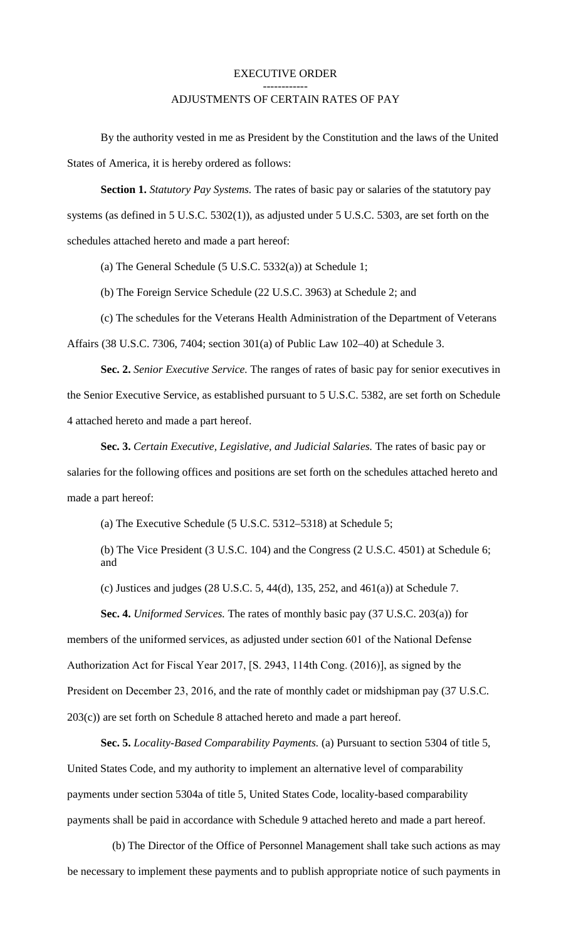## EXECUTIVE ORDER

# ------------ ADJUSTMENTS OF CERTAIN RATES OF PAY

By the authority vested in me as President by the Constitution and the laws of the United States of America, it is hereby ordered as follows:

**Section 1.** *Statutory Pay Systems.* The rates of basic pay or salaries of the statutory pay systems (as defined in 5 U.S.C. 5302(1)), as adjusted under 5 U.S.C. 5303, are set forth on the schedules attached hereto and made a part hereof:

(a) The General Schedule (5 U.S.C. 5332(a)) at Schedule 1;

(b) The Foreign Service Schedule (22 U.S.C. 3963) at Schedule 2; and

(c) The schedules for the Veterans Health Administration of the Department of Veterans Affairs (38 U.S.C. 7306, 7404; section 301(a) of Public Law 102–40) at Schedule 3.

**Sec. 2.** *Senior Executive Service.* The ranges of rates of basic pay for senior executives in the Senior Executive Service, as established pursuant to 5 U.S.C. 5382, are set forth on Schedule 4 attached hereto and made a part hereof.

**Sec. 3.** *Certain Executive, Legislative, and Judicial Salaries.* The rates of basic pay or salaries for the following offices and positions are set forth on the schedules attached hereto and made a part hereof:

(a) The Executive Schedule (5 U.S.C. 5312–5318) at Schedule 5;

(b) The Vice President (3 U.S.C. 104) and the Congress (2 U.S.C. 4501) at Schedule 6; and

(c) Justices and judges (28 U.S.C. 5, 44(d), 135, 252, and 461(a)) at Schedule 7.

**Sec. 4.** *Uniformed Services.* The rates of monthly basic pay (37 U.S.C. 203(a)) for members of the uniformed services, as adjusted under section 601 of the National Defense Authorization Act for Fiscal Year 2017, [S. 2943, 114th Cong. (2016)], as signed by the President on December 23, 2016, and the rate of monthly cadet or midshipman pay (37 U.S.C. 203(c)) are set forth on Schedule 8 attached hereto and made a part hereof.

**Sec. 5.** *Locality-Based Comparability Payments.* (a) Pursuant to section 5304 of title 5, United States Code, and my authority to implement an alternative level of comparability payments under section 5304a of title 5, United States Code, locality-based comparability payments shall be paid in accordance with Schedule 9 attached hereto and made a part hereof.

(b) The Director of the Office of Personnel Management shall take such actions as may be necessary to implement these payments and to publish appropriate notice of such payments in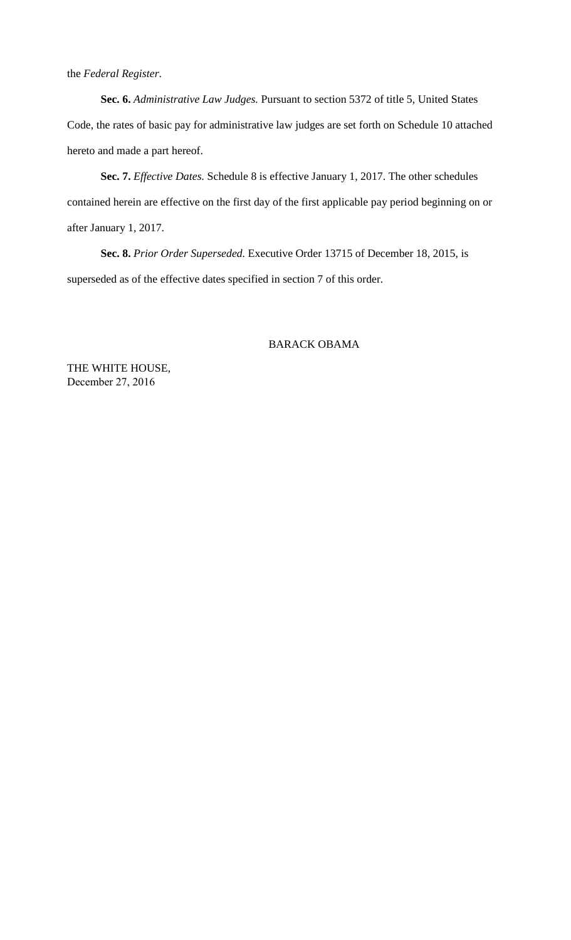the *Federal Register*.

**Sec. 6.** *Administrative Law Judges.* Pursuant to section 5372 of title 5, United States Code, the rates of basic pay for administrative law judges are set forth on Schedule 10 attached hereto and made a part hereof.

**Sec. 7.** *Effective Dates.* Schedule 8 is effective January 1, 2017. The other schedules contained herein are effective on the first day of the first applicable pay period beginning on or after January 1, 2017.

**Sec. 8.** *Prior Order Superseded.* Executive Order 13715 of December 18, 2015, is superseded as of the effective dates specified in section 7 of this order.

# BARACK OBAMA

THE WHITE HOUSE, December 27, 2016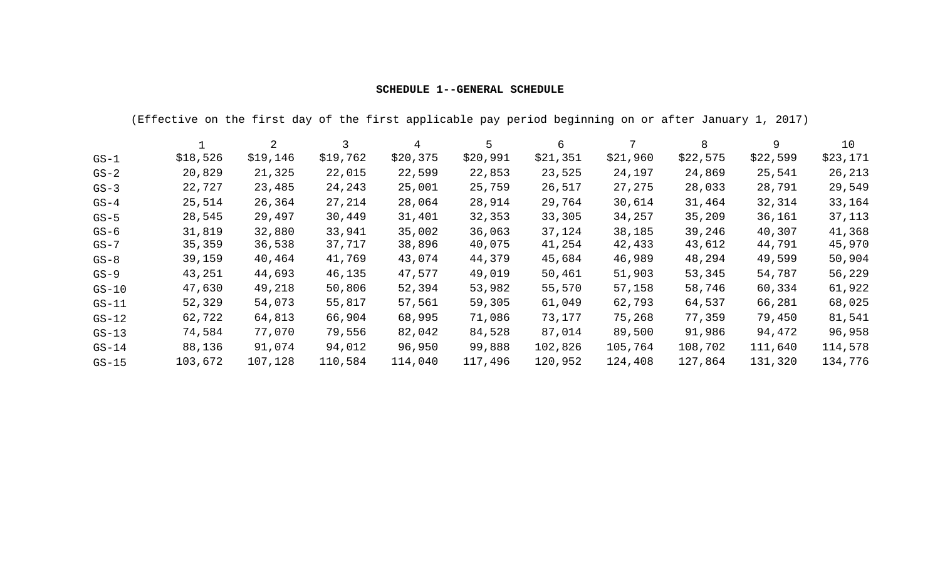|          | (Effective on the first day of the first applicable pay period beginning on or after January 1, 2017) |                |          |          |          |          |          |          |          |          |  |
|----------|-------------------------------------------------------------------------------------------------------|----------------|----------|----------|----------|----------|----------|----------|----------|----------|--|
|          |                                                                                                       | $\overline{2}$ |          | 4        | 5        | 6        |          | 8        | 9        | 10       |  |
| $GS-1$   | \$18,526                                                                                              | \$19,146       | \$19,762 | \$20,375 | \$20,991 | \$21,351 | \$21,960 | \$22,575 | \$22,599 | \$23,171 |  |
| $GS-2$   | 20,829                                                                                                | 21,325         | 22,015   | 22,599   | 22,853   | 23,525   | 24,197   | 24,869   | 25,541   | 26,213   |  |
| $GS-3$   | 22,727                                                                                                | 23,485         | 24,243   | 25,001   | 25,759   | 26,517   | 27,275   | 28,033   | 28,791   | 29,549   |  |
| $GS-4$   | 25,514                                                                                                | 26,364         | 27,214   | 28,064   | 28,914   | 29,764   | 30,614   | 31,464   | 32,314   | 33,164   |  |
| $GS-5$   | 28,545                                                                                                | 29,497         | 30,449   | 31,401   | 32,353   | 33,305   | 34,257   | 35,209   | 36,161   | 37,113   |  |
| $GS-6$   | 31,819                                                                                                | 32,880         | 33,941   | 35,002   | 36,063   | 37,124   | 38,185   | 39,246   | 40,307   | 41,368   |  |
| $GS - 7$ | 35,359                                                                                                | 36,538         | 37,717   | 38,896   | 40,075   | 41,254   | 42,433   | 43,612   | 44,791   | 45,970   |  |
| $GS-8$   | 39,159                                                                                                | 40,464         | 41,769   | 43,074   | 44,379   | 45,684   | 46,989   | 48,294   | 49,599   | 50,904   |  |
| $GS-9$   | 43,251                                                                                                | 44,693         | 46,135   | 47,577   | 49,019   | 50,461   | 51,903   | 53,345   | 54,787   | 56,229   |  |
| $GS-10$  | 47,630                                                                                                | 49,218         | 50,806   | 52,394   | 53,982   | 55,570   | 57,158   | 58,746   | 60,334   | 61,922   |  |
| $GS-11$  | 52,329                                                                                                | 54,073         | 55,817   | 57,561   | 59,305   | 61,049   | 62,793   | 64,537   | 66,281   | 68,025   |  |
| $GS-12$  | 62,722                                                                                                | 64,813         | 66,904   | 68,995   | 71,086   | 73,177   | 75,268   | 77,359   | 79,450   | 81,541   |  |
| $GS-13$  | 74,584                                                                                                | 77,070         | 79,556   | 82,042   | 84,528   | 87,014   | 89,500   | 91,986   | 94,472   | 96,958   |  |
| $GS-14$  | 88,136                                                                                                | 91,074         | 94,012   | 96,950   | 99,888   | 102,826  | 105,764  | 108,702  | 111,640  | 114,578  |  |
| $GS-15$  | 103,672                                                                                               | 107,128        | 110,584  | 114,040  | 117,496  | 120,952  | 124,408  | 127,864  | 131,320  | 134,776  |  |

## **SCHEDULE 1--GENERAL SCHEDULE**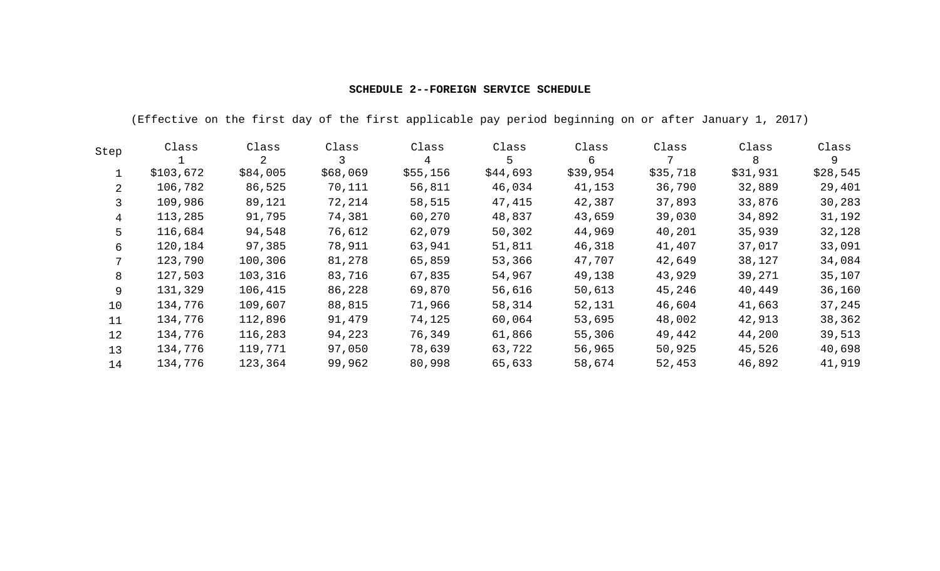| Step | Class     | Class<br>2 | Class<br>3 | Class<br>4 | Class<br>5 | Class<br>6 | Class<br>7 | Class<br>8 | Class<br>9 |
|------|-----------|------------|------------|------------|------------|------------|------------|------------|------------|
|      | \$103,672 | \$84,005   | \$68,069   | \$55,156   | \$44,693   | \$39,954   | \$35,718   | \$31,931   | \$28,545   |
| 2    | 106,782   | 86,525     | 70,111     | 56,811     | 46,034     | 41,153     | 36,790     | 32,889     | 29,401     |
| 3    | 109,986   | 89,121     | 72,214     | 58,515     | 47,415     | 42,387     | 37,893     | 33,876     | 30,283     |
| 4    | 113,285   | 91,795     | 74,381     | 60,270     | 48,837     | 43,659     | 39,030     | 34,892     | 31,192     |
| 5    | 116,684   | 94,548     | 76,612     | 62,079     | 50,302     | 44,969     | 40,201     | 35,939     | 32,128     |
| 6    | 120,184   | 97,385     | 78,911     | 63,941     | 51,811     | 46,318     | 41,407     | 37,017     | 33,091     |
|      | 123,790   | 100,306    | 81,278     | 65,859     | 53,366     | 47,707     | 42,649     | 38,127     | 34,084     |
| 8    | 127,503   | 103,316    | 83,716     | 67,835     | 54,967     | 49,138     | 43,929     | 39,271     | 35,107     |
| 9    | 131,329   | 106,415    | 86,228     | 69,870     | 56,616     | 50,613     | 45,246     | 40,449     | 36,160     |
| 10   | 134,776   | 109,607    | 88,815     | 71,966     | 58,314     | 52,131     | 46,604     | 41,663     | 37,245     |
| 11   | 134,776   | 112,896    | 91,479     | 74,125     | 60,064     | 53,695     | 48,002     | 42,913     | 38,362     |
| 12   | 134,776   | 116,283    | 94,223     | 76,349     | 61,866     | 55,306     | 49,442     | 44,200     | 39,513     |
| 13   | 134,776   | 119,771    | 97,050     | 78,639     | 63,722     | 56,965     | 50,925     | 45,526     | 40,698     |
| 14   | 134,776   | 123,364    | 99,962     | 80,998     | 65,633     | 58,674     | 52,453     | 46,892     | 41,919     |

## **SCHEDULE 2--FOREIGN SERVICE SCHEDULE**

(Effective on the first day of the first applicable pay period beginning on or after January 1, 2017)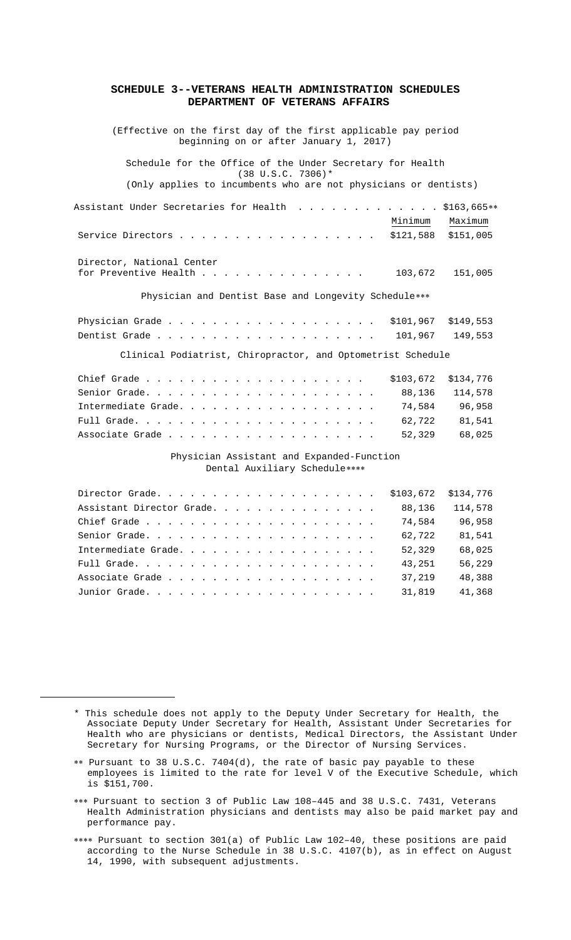| SCHEDULE 3--VETERANS HEALTH ADMINISTRATION SCHEDULES<br>DEPARTMENT OF VETERANS AFFAIRS                                                                        |           |
|---------------------------------------------------------------------------------------------------------------------------------------------------------------|-----------|
| (Effective on the first day of the first applicable pay period<br>beginning on or after January 1, 2017)                                                      |           |
| Schedule for the Office of the Under Secretary for Health<br>$(38 \text{ U.S.C. } 7306)$ *<br>(Only applies to incumbents who are not physicians or dentists) |           |
| Assistant Under Secretaries for Health \$163,665**                                                                                                            |           |
| Minimum                                                                                                                                                       | Maximum   |
| Service Directors<br>\$121,588                                                                                                                                | \$151,005 |
| Director, National Center<br>for Preventive Health<br>103,672                                                                                                 | 151,005   |
| Physician and Dentist Base and Longevity Schedule***                                                                                                          |           |
| \$101,967                                                                                                                                                     | \$149,553 |
| 101,967                                                                                                                                                       | 149,553   |
| Clinical Podiatrist, Chiropractor, and Optometrist Schedule                                                                                                   |           |
| \$103,672                                                                                                                                                     | \$134,776 |
| 88,136                                                                                                                                                        | 114,578   |
| 74,584<br>Intermediate Grade.                                                                                                                                 | 96,958    |
| 62,722                                                                                                                                                        | 81,541    |
| 52,329                                                                                                                                                        | 68,025    |
| Physician Assistant and Expanded-Function<br>Dental Auxiliary Schedule****                                                                                    |           |
| \$103,672                                                                                                                                                     | \$134,776 |
| Assistant Director Grade.<br>88,136                                                                                                                           | 114,578   |
| 74,584                                                                                                                                                        | 96,958    |
| 62,722                                                                                                                                                        | 81,541    |
| 52,329<br>Intermediate Grade.                                                                                                                                 | 68,025    |

<span id="page-4-0"></span> $\overline{a}$ 

Full Grade. . . . . . . . . . . . . . . . . . . . . . 43,251 56,229 Associate Grade . . . . . . . . . . . . . . . . . . . 37,219 48,388 Junior Grade. . . . . . . . . . . . . . . . . . . . . 31,819 41,368

<sup>\*</sup> This schedule does not apply to the Deputy Under Secretary for Health, the Associate Deputy Under Secretary for Health, Assistant Under Secretaries for Health who are physicians or dentists, Medical Directors, the Assistant Under Secretary for Nursing Programs, or the Director of Nursing Services.

<span id="page-4-1"></span><sup>∗∗</sup> Pursuant to 38 U.S.C. 7404(d), the rate of basic pay payable to these employees is limited to the rate for level V of the Executive Schedule, which is \$151,700.

<span id="page-4-2"></span><sup>∗∗∗</sup> Pursuant to section 3 of Public Law 108–445 and 38 U.S.C. 7431, Veterans Health Administration physicians and dentists may also be paid market pay and performance pay.

<span id="page-4-3"></span><sup>∗∗∗∗</sup> Pursuant to section 301(a) of Public Law 102–40, these positions are paid according to the Nurse Schedule in 38 U.S.C. 4107(b), as in effect on August 14, 1990, with subsequent adjustments.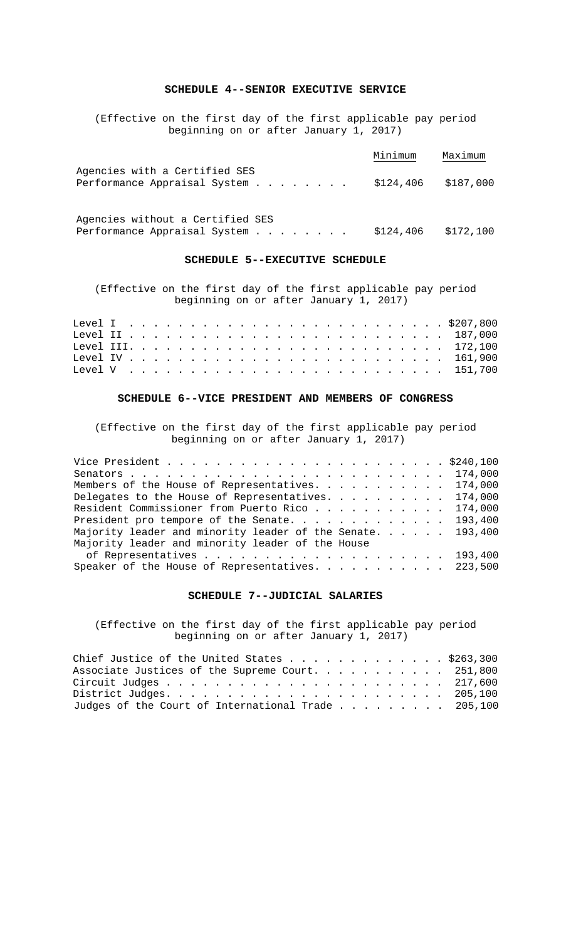## **SCHEDULE 4--SENIOR EXECUTIVE SERVICE**

(Effective on the first day of the first applicable pay period beginning on or after January 1, 2017)

|                                                           | Minimum | Maximum |
|-----------------------------------------------------------|---------|---------|
| Agencies with a Certified SES                             |         |         |
| Performance Appraisal System $\ldots$ \$124,406 \$187,000 |         |         |
|                                                           |         |         |

Agencies without a Certified SES Performance Appraisal System . . . . . . . . \$124,406 \$172,100

## **SCHEDULE 5--EXECUTIVE SCHEDULE**

(Effective on the first day of the first applicable pay period beginning on or after January 1, 2017)

# **SCHEDULE 6--VICE PRESIDENT AND MEMBERS OF CONGRESS**

(Effective on the first day of the first applicable pay period beginning on or after January 1, 2017)

| Members of the House of Representatives. 174,000           |  |
|------------------------------------------------------------|--|
| Delegates to the House of Representatives. 174,000         |  |
| Resident Commissioner from Puerto Rico 174,000             |  |
| President pro tempore of the Senate 193,400                |  |
| Majority leader and minority leader of the Senate. 193,400 |  |
| Majority leader and minority leader of the House           |  |
|                                                            |  |
| Speaker of the House of Representatives. 223,500           |  |
|                                                            |  |

## **SCHEDULE 7--JUDICIAL SALARIES**

(Effective on the first day of the first applicable pay period beginning on or after January 1, 2017)

| Chief Justice of the United States \$263,300       |  |
|----------------------------------------------------|--|
| Associate Justices of the Supreme Court. 251,800   |  |
|                                                    |  |
|                                                    |  |
| Judges of the Court of International Trade 205,100 |  |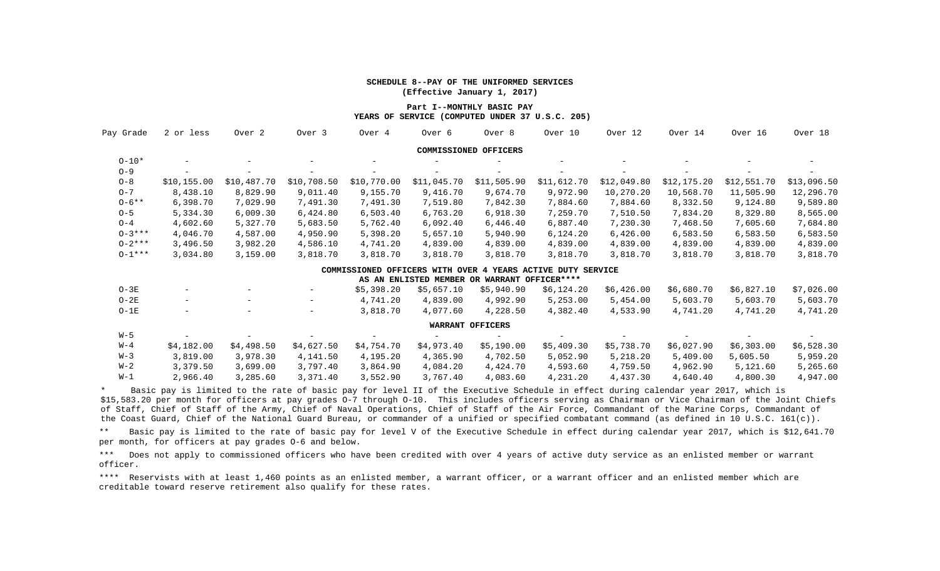#### **SCHEDULE 8--PAY OF THE UNIFORMED SERVICES (Effective January 1, 2017)**

#### **Part I--MONTHLY BASIC PAY YEARS OF SERVICE (COMPUTED UNDER 37 U.S.C. 205)**

| Pay Grade   | 2 or less                | Over 2                   | Over 3                   | Over 4      | Over 6                          | Over 8                   | Over 10                   | Over 12     | Over 14     | Over 16     | Over 18     |
|-------------|--------------------------|--------------------------|--------------------------|-------------|---------------------------------|--------------------------|---------------------------|-------------|-------------|-------------|-------------|
|             |                          |                          |                          |             |                                 | COMMISSIONED OFFICERS    |                           |             |             |             |             |
| $0 - 10*$   |                          |                          |                          |             |                                 | $\overline{\phantom{a}}$ |                           |             |             |             |             |
| $O - 9$     |                          |                          |                          |             |                                 |                          |                           |             |             |             |             |
| $O - 8$     | \$10, 155.00             | \$10,487.70              | \$10,708.50              | \$10,770.00 | \$11,045.70                     | \$11,505.90              | \$11,612.70               | \$12,049.80 | \$12,175.20 | \$12,551.70 | \$13,096.50 |
| $O - 7$     | 8,438.10                 | 8,829.90                 | 9,011.40                 | 9,155.70    | 9,416.70                        | 9,674.70                 | 9,972.90                  | 10,270.20   | 10,568.70   | 11,505.90   | 12,296.70   |
| $0 - 6**$   | 6,398.70                 | 7,029.90                 | 7,491.30                 | 7,491.30    | 7,519.80                        | 7,842.30                 | 7,884.60                  | 7,884.60    | 8,332.50    | 9,124.80    | 9,589.80    |
| $O - 5$     | 5,334.30                 | 6,009.30                 | 6,424.80                 | 6,503.40    | 6,763.20                        | 6,918.30                 | 7,259.70                  | 7,510.50    | 7,834.20    | 8,329.80    | 8,565.00    |
| $O - 4$     | 4,602.60                 | 5,327.70                 | 5,683.50                 | 5,762.40    | 6,092.40                        | 6,446.40                 | 6,887.40                  | 7,230.30    | 7,468.50    | 7,605.60    | 7,684.80    |
| $0 - 3$ *** | 4,046.70                 | 4,587.00                 | 4,950.90                 | 5,398.20    | 5,657.10                        | 5,940.90                 | 6,124.20                  | 6,426.00    | 6,583.50    | 6,583.50    | 6,583.50    |
| $0 - 2$ *** | 3,496.50                 | 3,982.20                 | 4,586.10                 | 4,741.20    | 4,839.00                        | 4,839.00                 | 4,839.00                  | 4,839.00    | 4,839.00    | 4,839.00    | 4,839.00    |
| $0 - 1***$  | 3,034.80                 | 3,159.00                 | 3,818.70                 | 3,818.70    | 3,818.70                        | 3,818.70                 | 3,818.70                  | 3,818.70    | 3,818.70    | 3,818.70    | 3,818.70    |
|             |                          |                          |                          |             | COMMISSIONED OFFICERS WITH OVER | 4                        | YEARS ACTIVE DUTY SERVICE |             |             |             |             |
|             |                          |                          |                          |             | AS AN ENLISTED MEMBER OR        |                          | WARRANT OFFICER****       |             |             |             |             |
| $O-3E$      |                          |                          | $-$                      | \$5,398.20  | \$5,657.10                      | \$5,940.90               | \$6,124.20                | \$6,426.00  | \$6,680.70  | \$6,827.10  | \$7,026.00  |
| $O-2E$      | $\overline{\phantom{m}}$ | $\overline{\phantom{0}}$ | $ \,$                    | 4,741.20    | 4,839.00                        | 4,992.90                 | 5,253.00                  | 5,454.00    | 5,603.70    | 5,603.70    | 5,603.70    |
| $O-1E$      |                          |                          | $\overline{\phantom{0}}$ | 3,818.70    | 4,077.60                        | 4,228.50                 | 4,382.40                  | 4,533.90    | 4,741.20    | 4,741.20    | 4,741.20    |
|             |                          |                          |                          |             |                                 | WARRANT OFFICERS         |                           |             |             |             |             |
| $W - 5$     |                          |                          |                          |             |                                 | $\qquad \qquad -$        | $\qquad \qquad -$         |             |             |             |             |
| $W-4$       | \$4,182.00               | \$4,498.50               | \$4,627.50               | \$4,754.70  | \$4,973.40                      | \$5,190.00               | \$5,409.30                | \$5,738.70  | \$6,027.90  | \$6,303.00  | \$6,528.30  |
| $W-3$       | 3,819.00                 | 3,978.30                 | 4,141.50                 | 4,195.20    | 4,365.90                        | 4,702.50                 | 5,052.90                  | 5,218.20    | 5,409.00    | 5,605.50    | 5,959.20    |
| $W-2$       | 3,379.50                 | 3,699.00                 | 3,797.40                 | 3,864.90    | 4,084.20                        | 4,424.70                 | 4,593.60                  | 4,759.50    | 4,962.90    | 5,121.60    | 5,265.60    |

\* Basic pay is limited to the rate of basic pay for level II of the Executive Schedule in effect during calendar year 2017, which is \$15,583.20 per month for officers at pay grades O-7 through O-10. This includes officers serving as Chairman or Vice Chairman of the Joint Chiefs of Staff, Chief of Staff of the Army, Chief of Naval Operations, Chief of Staff of the Air Force, Commandant of the Marine Corps, Commandant of the Coast Guard, Chief of the National Guard Bureau, or commander of a unified or specified combatant command (as defined in 10 U.S.C. 161(c)).

W-1 2,966.40 3,285.60 3,371.40 3,552.90 3,767.40 4,083.60 4,231.20 4,437.30 4,640.40 4,800.30 4,947.00

\*\* Basic pay is limited to the rate of basic pay for level V of the Executive Schedule in effect during calendar year 2017, which is \$12,641.70 per month, for officers at pay grades O-6 and below.

\*\*\* Does not apply to commissioned officers who have been credited with over 4 years of active duty service as an enlisted member or warrant officer.

\*\*\*\* Reservists with at least 1,460 points as an enlisted member, a warrant officer, or a warrant officer and an enlisted member which are creditable toward reserve retirement also qualify for these rates.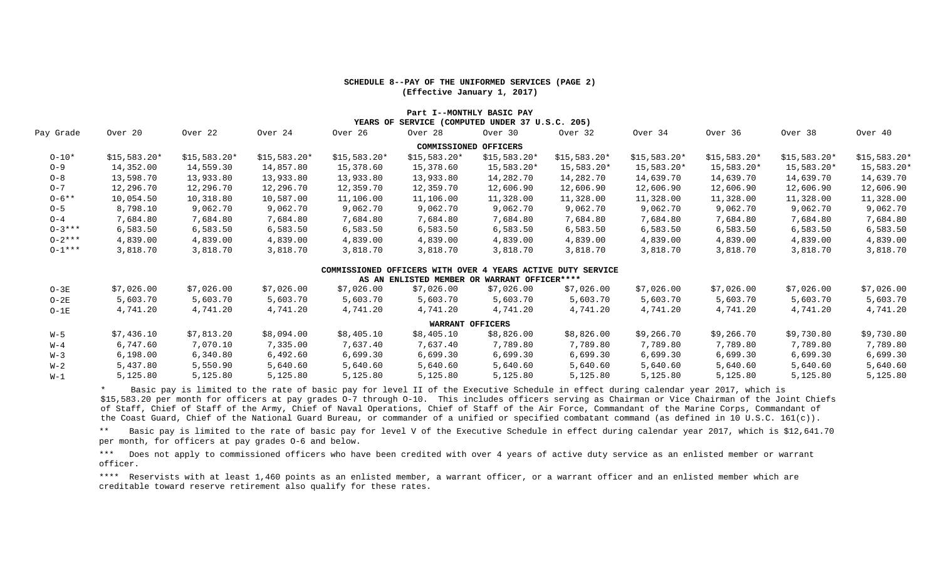#### **SCHEDULE 8--PAY OF THE UNIFORMED SERVICES (PAGE 2) (Effective January 1, 2017)**

#### **Part I--MONTHLY BASIC PAY YEARS OF SERVICE (COMPUTED UNDER 37 U.S.C. 205)**

| Pay Grade   | Over 20       | Over 22       | Over 24       | Over 26                         | Over 28                  | Over 30              | Over 32                   | Over 34       | Over 36       | Over 38       | Over 40       |
|-------------|---------------|---------------|---------------|---------------------------------|--------------------------|----------------------|---------------------------|---------------|---------------|---------------|---------------|
|             |               |               |               |                                 | COMMISSIONED OFFICERS    |                      |                           |               |               |               |               |
| $O-10*$     | $$15,583.20*$ | $$15,583.20*$ | $$15,583.20*$ | $$15,583.20*$                   | $$15,583.20*$            | $$15,583.20*$        | $$15,583.20*$             | $$15,583.20*$ | $$15,583.20*$ | $$15,583.20*$ | $$15,583.20*$ |
| $O - 9$     | 14,352.00     | 14,559.30     | 14,857.80     | 15,378.60                       | 15,378.60                | 15,583.20*           | 15,583.20*                | 15,583.20*    | 15,583.20*    | 15,583.20*    | 15,583.20*    |
| $O - 8$     | 13,598.70     | 13,933.80     | 13,933.80     | 13,933.80                       | 13,933.80                | 14,282.70            | 14,282.70                 | 14,639.70     | 14,639.70     | 14,639.70     | 14,639.70     |
| $O - 7$     | 12,296.70     | 12,296.70     | 12,296.70     | 12,359.70                       | 12,359.70                | 12,606.90            | 12,606.90                 | 12,606.90     | 12,606.90     | 12,606.90     | 12,606.90     |
| $0 - 6**$   | 10,054.50     | 10,318.80     | 10,587.00     | 11,106.00                       | 11,106.00                | 11,328.00            | 11,328.00                 | 11,328.00     | 11,328.00     | 11,328.00     | 11,328.00     |
| $O - 5$     | 8,798.10      | 9,062.70      | 9,062.70      | 9,062.70                        | 9,062.70                 | 9,062.70             | 9,062.70                  | 9,062.70      | 9,062.70      | 9,062.70      | 9,062.70      |
| $O - 4$     | 7,684.80      | 7,684.80      | 7,684.80      | 7,684.80                        | 7,684.80                 | 7,684.80             | 7,684.80                  | 7,684.80      | 7,684.80      | 7,684.80      | 7,684.80      |
| $0 - 3$ *** | 6,583.50      | 6,583.50      | 6,583.50      | 6,583.50                        | 6,583.50                 | 6,583.50             | 6,583.50                  | 6,583.50      | 6,583.50      | 6,583.50      | 6,583.50      |
| $0 - 2$ *** | 4,839.00      | 4,839.00      | 4,839.00      | 4,839.00                        | 4,839.00                 | 4,839.00             | 4,839.00                  | 4,839.00      | 4,839.00      | 4,839.00      | 4,839.00      |
| $0 - 1***$  | 3,818.70      | 3,818.70      | 3,818.70      | 3,818.70                        | 3,818.70                 | 3,818.70             | 3,818.70                  | 3,818.70      | 3,818.70      | 3,818.70      | 3,818.70      |
|             |               |               |               | COMMISSIONED OFFICERS WITH OVER |                          | 4                    | YEARS ACTIVE DUTY SERVICE |               |               |               |               |
|             |               |               |               |                                 | AS AN ENLISTED MEMBER OR | WARRANT OFFICER **** |                           |               |               |               |               |
| $O-3E$      | \$7,026.00    | \$7,026.00    | \$7,026.00    | \$7,026.00                      | \$7,026.00               | \$7,026.00           | \$7,026.00                | \$7,026.00    | \$7,026.00    | \$7,026.00    | \$7,026.00    |
| $O-2E$      | 5,603.70      | 5,603.70      | 5,603.70      | 5,603.70                        | 5,603.70                 | 5,603.70             | 5,603.70                  | 5,603.70      | 5,603.70      | 5,603.70      | 5,603.70      |
| $O-1E$      | 4,741.20      | 4,741.20      | 4,741.20      | 4,741.20                        | 4,741.20                 | 4,741.20             | 4,741.20                  | 4,741.20      | 4,741.20      | 4,741.20      | 4,741.20      |
|             |               |               |               |                                 | WARRANT OFFICERS         |                      |                           |               |               |               |               |
| $W - 5$     | \$7,436.10    | \$7,813.20    | \$8,094.00    | \$8,405.10                      | \$8,405.10               | \$8,826.00           | \$8,826.00                | \$9,266.70    | \$9,266.70    | \$9,730.80    | \$9,730.80    |
| $W-4$       | 6,747.60      | 7,070.10      | 7,335.00      | 7,637.40                        | 7,637.40                 | 7,789.80             | 7,789.80                  | 7,789.80      | 7,789.80      | 7,789.80      | 7,789.80      |
| $W-3$       | 6,198.00      | 6,340.80      | 6,492.60      | 6,699.30                        | 6,699.30                 | 6,699.30             | 6,699.30                  | 6,699.30      | 6,699.30      | 6,699.30      | 6,699.30      |
| $W-2$       | 5,437.80      | 5,550.90      | 5,640.60      | 5,640.60                        | 5,640.60                 | 5,640.60             | 5,640.60                  | 5,640.60      | 5,640.60      | 5,640.60      | 5,640.60      |
|             |               |               |               |                                 |                          |                      |                           |               |               |               |               |

\* Basic pay is limited to the rate of basic pay for level II of the Executive Schedule in effect during calendar year 2017, which is \$15,583.20 per month for officers at pay grades O-7 through O-10. This includes officers serving as Chairman or Vice Chairman of the Joint Chiefs of Staff, Chief of Staff of the Army, Chief of Naval Operations, Chief of Staff of the Air Force, Commandant of the Marine Corps, Commandant of the Coast Guard, Chief of the National Guard Bureau, or commander of a unified or specified combatant command (as defined in 10 U.S.C. 161(c)).

W-1 5,125.80 5,125.80 5,125.80 5,125.80 5,125.80 5,125.80 5,125.80 5,125.80 5,125.80 5,125.80 5,125.80

\*\* Basic pay is limited to the rate of basic pay for level V of the Executive Schedule in effect during calendar year 2017, which is \$12,641.70 per month, for officers at pay grades O-6 and below.

\*\*\* Does not apply to commissioned officers who have been credited with over 4 years of active duty service as an enlisted member or warrant officer.

\*\*\*\* Reservists with at least 1,460 points as an enlisted member, a warrant officer, or a warrant officer and an enlisted member which are creditable toward reserve retirement also qualify for these rates.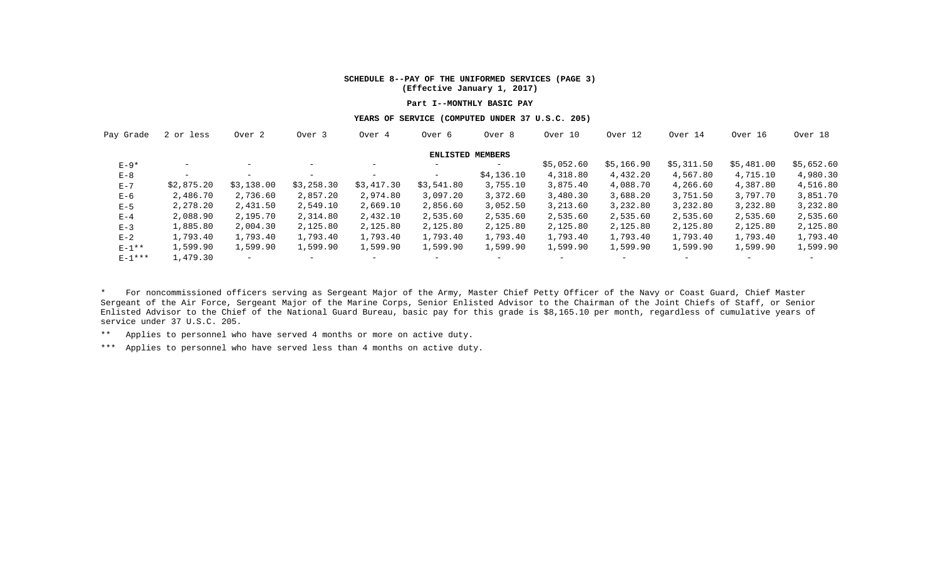### **SCHEDULE 8--PAY OF THE UNIFORMED SERVICES (PAGE 3) (Effective January 1, 2017)**

#### **Part I--MONTHLY BASIC PAY**

#### **YEARS OF SERVICE (COMPUTED UNDER 37 U.S.C. 205)**

| Pay Grade   | 2 or less                | Over <sub>2</sub>        | Over <sub>3</sub>        | Over 4                   | Over 6                   | Over 8     | Over 10                  | Over 12    | Over 14    | Over 16                  | Over 18    |
|-------------|--------------------------|--------------------------|--------------------------|--------------------------|--------------------------|------------|--------------------------|------------|------------|--------------------------|------------|
|             |                          |                          |                          |                          | <b>ENLISTED MEMBERS</b>  |            |                          |            |            |                          |            |
| $E-9*$      | $\overline{\phantom{m}}$ |                          | $\overline{\phantom{0}}$ | $-$                      | $\qquad \qquad -$        | -          | \$5,052.60               | \$5,166.90 | \$5,311.50 | \$5,481.00               | \$5,652.60 |
| $E-8$       | $\overline{\phantom{0}}$ | $\overline{\phantom{0}}$ | $-$                      | $\overline{\phantom{m}}$ | $\qquad \qquad -$        | \$4,136.10 | 4,318.80                 | 4,432.20   | 4,567.80   | 4,715.10                 | 4,980.30   |
| $E - 7$     | \$2,875.20               | \$3,138.00               | \$3,258.30               | \$3,417.30               | \$3,541.80               | 3,755.10   | 3,875.40                 | 4,088.70   | 4,266.60   | 4,387.80                 | 4,516.80   |
| $E-6$       | 2,486.70                 | 2,736.60                 | 2,857.20                 | 2,974.80                 | 3,097.20                 | 3,372.60   | 3,480.30                 | 3,688.20   | 3,751.50   | 3,797.70                 | 3,851.70   |
| $E-5$       | 2,278.20                 | 2,431.50                 | 2,549.10                 | 2,669.10                 | 2,856.60                 | 3,052.50   | 3,213.60                 | 3,232.80   | 3,232.80   | 3,232.80                 | 3,232.80   |
| $E - 4$     | 2,088.90                 | 2,195.70                 | 2,314.80                 | 2,432.10                 | 2,535.60                 | 2,535.60   | 2,535.60                 | 2,535.60   | 2,535.60   | 2,535.60                 | 2,535.60   |
| $E-3$       | 1,885.80                 | 2,004.30                 | 2,125.80                 | 2,125.80                 | 2,125.80                 | 2,125.80   | 2,125.80                 | 2,125.80   | 2,125.80   | 2,125.80                 | 2,125.80   |
| $E-2$       | 1,793.40                 | 1,793.40                 | 1,793.40                 | 1,793.40                 | 1,793.40                 | 1,793.40   | 1,793.40                 | 1,793.40   | 1,793.40   | 1,793.40                 | 1,793.40   |
| $E - 1$ **  | 1,599.90                 | 1,599.90                 | 1,599.90                 | 1,599.90                 | 1,599.90                 | 1,599.90   | 1,599.90                 | 1,599.90   | 1,599.90   | 1,599.90                 | 1,599.90   |
| $E - 1$ *** | 1,479.30                 | $\overline{\phantom{m}}$ | $-$                      | $\overline{\phantom{0}}$ | $\overline{\phantom{0}}$ | -          | $\overline{\phantom{0}}$ |            | -          | $\overline{\phantom{0}}$ |            |

\* For noncommissioned officers serving as Sergeant Major of the Army, Master Chief Petty Officer of the Navy or Coast Guard, Chief Master Sergeant of the Air Force, Sergeant Major of the Marine Corps, Senior Enlisted Advisor to the Chairman of the Joint Chiefs of Staff, or Senior Enlisted Advisor to the Chief of the National Guard Bureau, basic pay for this grade is \$8,165.10 per month, regardless of cumulative years of service under 37 U.S.C. 205.

\*\* Applies to personnel who have served 4 months or more on active duty.

\*\*\* Applies to personnel who have served less than 4 months on active duty.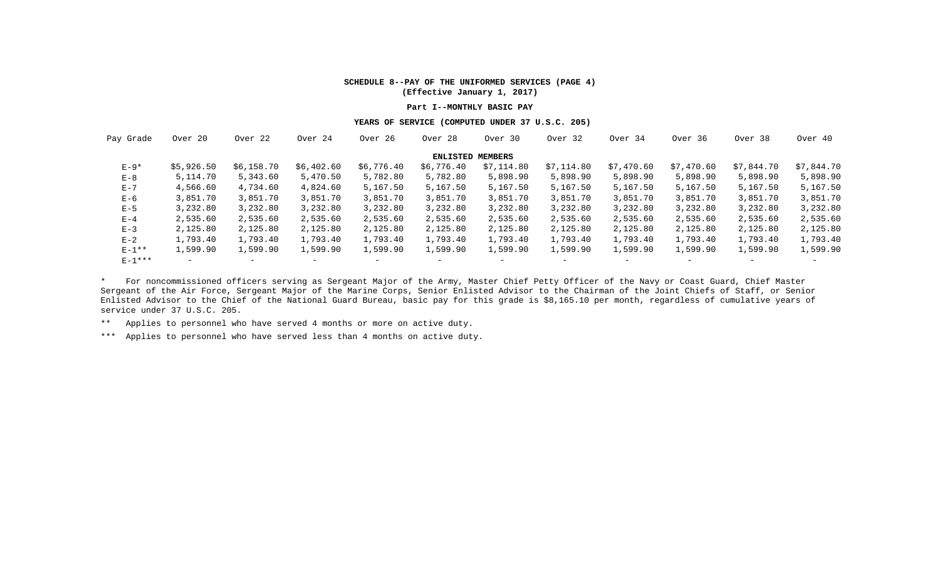#### **SCHEDULE 8--PAY OF THE UNIFORMED SERVICES (PAGE 4) (Effective January 1, 2017)**

#### **Part I--MONTHLY BASIC PAY**

#### **YEARS OF SERVICE (COMPUTED UNDER 37 U.S.C. 205)**

| Pay Grade   | Over 20                  | Over 22                  | Over 24                  | Over 26                  | Over 28                 | Over 30                  | Over 32                  | Over 34                  | Over 36                      | Over 38                  | Over 40    |
|-------------|--------------------------|--------------------------|--------------------------|--------------------------|-------------------------|--------------------------|--------------------------|--------------------------|------------------------------|--------------------------|------------|
|             |                          |                          |                          |                          | <b>ENLISTED MEMBERS</b> |                          |                          |                          |                              |                          |            |
| $E-9*$      | \$5,926.50               | \$6,158.70               | \$6,402.60               | \$6,776.40               | \$6,776.40              | \$7,114.80               | \$7,114.80               | \$7,470.60               | \$7,470.60                   | \$7,844.70               | \$7,844.70 |
| $E-8$       | 5,114.70                 | 5,343.60                 | 5,470.50                 | 5,782.80                 | 5,782.80                | 5,898.90                 | 5,898.90                 | 5,898.90                 | 5,898.90                     | 5,898.90                 | 5,898.90   |
| $E - 7$     | 4,566.60                 | 4,734.60                 | 4,824.60                 | 5,167.50                 | 5,167.50                | 5,167.50                 | 5,167.50                 | 5,167.50                 | 5,167.50                     | 5,167.50                 | 5,167.50   |
| $E-6$       | 3,851.70                 | 3,851.70                 | 3,851.70                 | 3,851.70                 | 3,851.70                | 3,851.70                 | 3,851.70                 | 3,851.70                 | 3,851.70                     | 3,851.70                 | 3,851.70   |
| $E-5$       | 3,232.80                 | 3,232.80                 | 3,232.80                 | 3,232.80                 | 3,232.80                | 3,232.80                 | 3,232.80                 | 3,232.80                 | 3,232.80                     | 3,232.80                 | 3,232.80   |
| $E - 4$     | 2,535.60                 | 2,535.60                 | 2,535.60                 | 2,535.60                 | 2,535.60                | 2,535.60                 | 2,535.60                 | 2,535.60                 | 2,535.60                     | 2,535.60                 | 2,535.60   |
| $E-3$       | 2,125.80                 | 2,125.80                 | 2,125.80                 | 2,125.80                 | 2,125.80                | 2,125.80                 | 2,125.80                 | 2,125.80                 | 2,125.80                     | 2,125.80                 | 2,125.80   |
| $E-2$       | 1,793.40                 | 1,793.40                 | 1,793.40                 | 1,793.40                 | 1,793.40                | 1,793.40                 | 1,793.40                 | 1,793.40                 | 1,793.40                     | 1,793.40                 | 1,793.40   |
| $E-1**$     | 1,599.90                 | 1,599.90                 | 1,599.90                 | 1,599.90                 | 1,599.90                | 1,599.90                 | 1,599.90                 | 1,599.90                 | 1,599.90                     | 1,599.90                 | 1,599.90   |
| $E - 1$ *** | $\overline{\phantom{a}}$ | $\overline{\phantom{0}}$ | $\overline{\phantom{0}}$ | $\overline{\phantom{0}}$ |                         | $\overline{\phantom{0}}$ | $\overline{\phantom{0}}$ | $\overline{\phantom{0}}$ | $\qquad \qquad \blacksquare$ | $\overline{\phantom{0}}$ |            |

\* For noncommissioned officers serving as Sergeant Major of the Army, Master Chief Petty Officer of the Navy or Coast Guard, Chief Master Sergeant of the Air Force, Sergeant Major of the Marine Corps, Senior Enlisted Advisor to the Chairman of the Joint Chiefs of Staff, or Senior Enlisted Advisor to the Chief of the National Guard Bureau, basic pay for this grade is \$8,165.10 per month, regardless of cumulative years of service under 37 U.S.C. 205.

\*\* Applies to personnel who have served 4 months or more on active duty.

\*\*\* Applies to personnel who have served less than 4 months on active duty.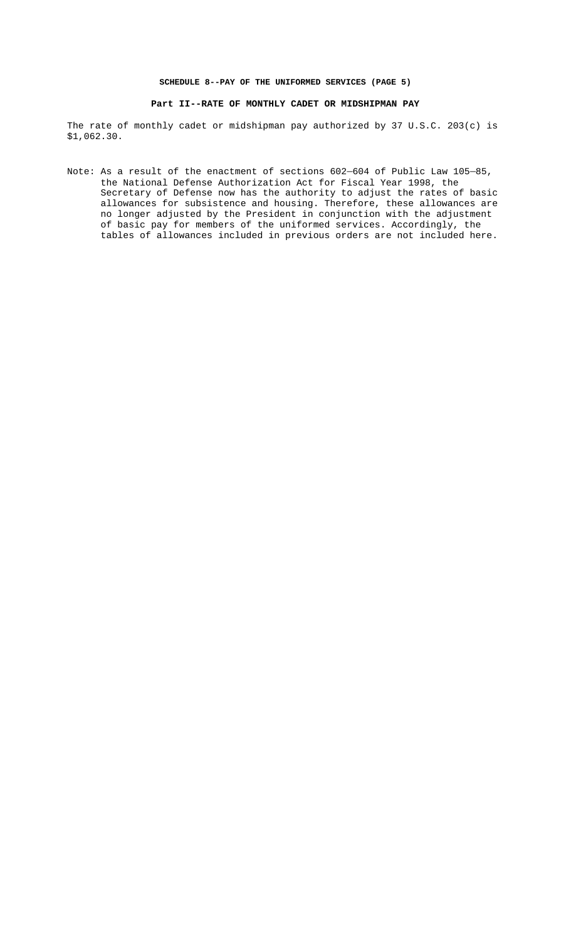## **SCHEDULE 8--PAY OF THE UNIFORMED SERVICES (PAGE 5)**

## **Part II--RATE OF MONTHLY CADET OR MIDSHIPMAN PAY**

The rate of monthly cadet or midshipman pay authorized by 37 U.S.C. 203(c) is \$1,062.30.

Note: As a result of the enactment of sections 602–604 of Public Law 105–85, the National Defense Authorization Act for Fiscal Year 1998, the Secretary of Defense now has the authority to adjust the rates of basic allowances for subsistence and housing. Therefore, these allowances are no longer adjusted by the President in conjunction with the adjustment of basic pay for members of the uniformed services. Accordingly, the tables of allowances included in previous orders are not included here.